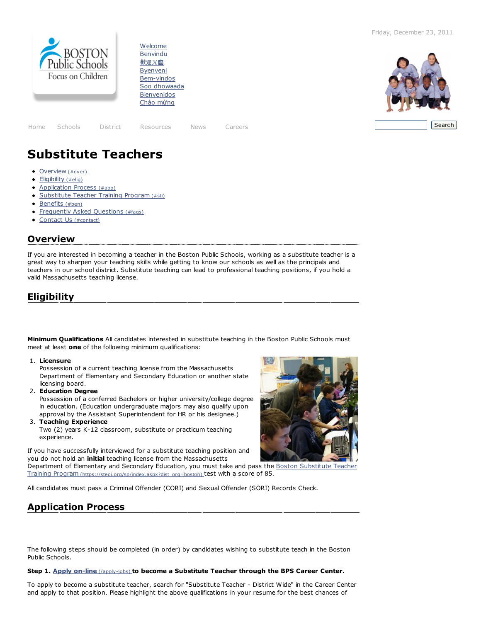

Welcome Benvindu 歡迎光臨 Byenveni Bem-vindos Soo dhowaada **Bienvenidos** Chào mừng

Home Schools District Resources News Careers



Search

# Substitute Teachers

- Overview (#over)
- $\bullet$  Eligibility (#elig)
- Application Process (#app)
- Substitute Teacher Training Program (#sti)
- Benefits (#ben)
- Frequently Asked Questions (#faqs)
- Contact Us (#contact)

### **Overview**

If you are interested in becoming a teacher in the Boston Public Schools, working as a substitute teacher is a great way to sharpen your teaching skills while getting to know our schools as well as the principals and teachers in our school district. Substitute teaching can lead to professional teaching positions, if you hold a valid Massachusetts teaching license.

# Eligibility

Minimum Qualifications All candidates interested in substitute teaching in the Boston Public Schools must meet at least one of the following minimum qualifications:

### 1. Licensure

Possession of a current teaching license from the Massachusetts Department of Elementary and Secondary Education or another state licensing board.

2. Education Degree

Possession of a conferred Bachelors or higher university/college degree in education. (Education undergraduate majors may also qualify upon approval by the Assistant Superintendent for HR or his designee.)

3. Teaching Experience

Two (2) years K-12 classroom, substitute or practicum teaching experience.

If you have successfully interviewed for a substitute teaching position and you do not hold an *initial* teaching license from the Massachusetts

Department of Elementary and Secondary Education, you must take and pass the Boston Substitute Teacher Training Program (https://stedi.org/sp/index.aspx?dist\_org=boston) test with a score of 85.

All candidates must pass a Criminal Offender (CORI) and Sexual Offender (SORI) Records Check.

# Application Process

The following steps should be completed (in order) by candidates wishing to substitute teach in the Boston Public Schools.

Step 1. Apply on-line (/apply-jobs) to become a Substitute Teacher through the BPS Career Center.

To apply to become a substitute teacher, search for "Substitute Teacher - District Wide" in the Career Center and apply to that position. Please highlight the above qualifications in your resume for the best chances of

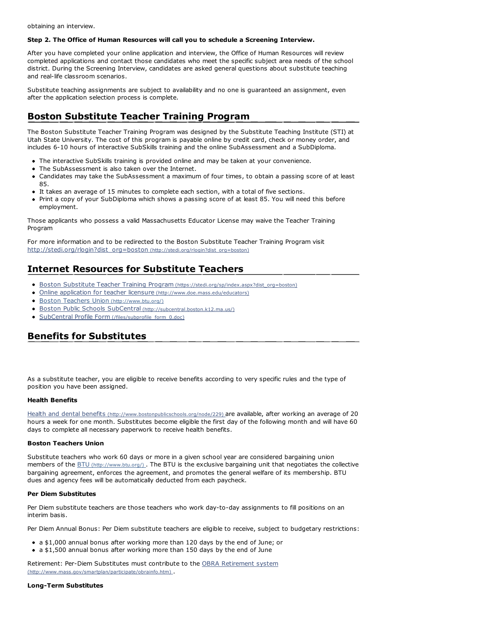obtaining an interview.

#### Step 2. The Office of Human Resources will call you to schedule a Screening Interview.

After you have completed your online application and interview, the Office of Human Resources will review completed applications and contact those candidates who meet the specific subject area needs of the school district. During the Screening Interview, candidates are asked general questions about substitute teaching and real-life classroom scenarios.

Substitute teaching assignments are subject to availability and no one is guaranteed an assignment, even after the application selection process is complete.

### Boston Substitute Teacher Training Program

The Boston Substitute Teacher Training Program was designed by the Substitute Teaching Institute (STI) at Utah State University. The cost of this program is payable online by credit card, check or money order, and includes 6-10 hours of interactive SubSkills training and the online SubAssessment and a SubDiploma.

- The interactive SubSkills training is provided online and may be taken at your convenience.
- The SubAssessment is also taken over the Internet.
- Candidates may take the SubAssessment a maximum of four times, to obtain a passing score of at least 85.
- It takes an average of 15 minutes to complete each section, with a total of five sections.
- Print a copy of your SubDiploma which shows a passing score of at least 85. You will need this before employment.

Those applicants who possess a valid Massachusetts Educator License may waive the Teacher Training Program

For more information and to be redirected to the Boston Substitute Teacher Training Program visit http://stedi.org/rlogin?dist\_org=boston (http://stedi.org/rlogin?dist\_org=boston)

# Internet Resources for Substitute Teachers

- **Boston Substitute Teacher Training Program** (https://stedi.org/sp/index.aspx?dist\_org=boston)
- Online application for teacher licensure (http://www.doe.mass.edu/educators)
- Boston Teachers Union (http://www.btu.org/)
- Boston Public Schools SubCentral (http://subcentral.boston.k12.ma.us/)
- SubCentral Profile Form (/files/subprofile\_form\_0.doc)

# Benefits for Substitutes

As a substitute teacher, you are eligible to receive benefits according to very specific rules and the type of position you have been assigned.

### Health Benefits

Health and dental benefits (http://www.bostonpublicschools.org/node/229) are available, after working an average of 20 hours a week for one month. Substitutes become eligible the first day of the following month and will have 60 days to complete all necessary paperwork to receive health benefits.

#### Boston Teachers Union

Substitute teachers who work 60 days or more in a given school year are considered bargaining union members of the BTU (http://www.btu.org/). The BTU is the exclusive bargaining unit that negotiates the collective bargaining agreement, enforces the agreement, and promotes the general welfare of its membership. BTU dues and agency fees will be automatically deducted from each paycheck.

#### Per Diem Substitutes

Per Diem substitute teachers are those teachers who work day-to-day assignments to fill positions on an interim basis.

Per Diem Annual Bonus: Per Diem substitute teachers are eligible to receive, subject to budgetary restrictions:

- a \$1,000 annual bonus after working more than 120 days by the end of June; or
- a  $$1,500$  annual bonus after working more than 150 days by the end of June

Retirement: Per-Diem Substitutes must contribute to the OBRA Retirement system (http://www.mass.gov/smartplan/participate/obrainfo.htm) .

#### Long-Term Substitutes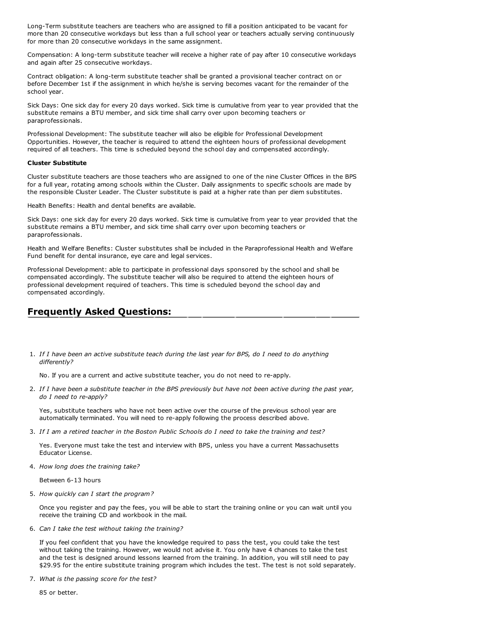Long-Term substitute teachers are teachers who are assigned to fill a position anticipated to be vacant for more than 20 consecutive workdays but less than a full school year or teachers actually serving continuously for more than 20 consecutive workdays in the same assignment.

Compensation: A long-term substitute teacher will receive a higher rate of pay after 10 consecutive workdays and again after 25 consecutive workdays.

Contract obligation: A long-term substitute teacher shall be granted a provisional teacher contract on or before December 1st if the assignment in which he/she is serving becomes vacant for the remainder of the school year.

Sick Days: One sick day for every 20 days worked. Sick time is cumulative from year to year provided that the substitute remains a BTU member, and sick time shall carry over upon becoming teachers or paraprofessionals.

Professional Development: The substitute teacher will also be eligible for Professional Development Opportunities. However, the teacher is required to attend the eighteen hours of professional development required of all teachers. This time is scheduled beyond the school day and compensated accordingly.

#### Cluster Substitute

Cluster substitute teachers are those teachers who are assigned to one of the nine Cluster Offices in the BPS for a full year, rotating among schools within the Cluster. Daily assignments to specific schools are made by the responsible Cluster Leader. The Cluster substitute is paid at a higher rate than per diem substitutes.

Health Benefits: Health and dental benefits are available.

Sick Days: one sick day for every 20 days worked. Sick time is cumulative from year to year provided that the substitute remains a BTU member, and sick time shall carry over upon becoming teachers or paraprofessionals.

Health and Welfare Benefits: Cluster substitutes shall be included in the Paraprofessional Health and Welfare Fund benefit for dental insurance, eye care and legal services.

Professional Development: able to participate in professional days sponsored by the school and shall be compensated accordingly. The substitute teacher will also be required to attend the eighteen hours of professional development required of teachers. This time is scheduled beyond the school day and compensated accordingly.

### Frequently Asked Questions:

1. If I have been an active substitute teach during the last year for BPS, do I need to do anything differently?

No. If you are a current and active substitute teacher, you do not need to re-apply.

2. If I have been a substitute teacher in the BPS previously but have not been active during the past year, do I need to re-apply?

Yes, substitute teachers who have not been active over the course of the previous school year are automatically terminated. You will need to re-apply following the process described above.

3. If I am a retired teacher in the Boston Public Schools do I need to take the training and test?

Yes. Everyone must take the test and interview with BPS, unless you have a current Massachusetts Educator License.

4. How long does the training take?

Between 6-13 hours

5. How quickly can I start the program?

Once you register and pay the fees, you will be able to start the training online or you can wait until you receive the training CD and workbook in the mail.

6. Can I take the test without taking the training?

If you feel confident that you have the knowledge required to pass the test, you could take the test without taking the training. However, we would not advise it. You only have 4 chances to take the test and the test is designed around lessons learned from the training. In addition, you will still need to pay \$29.95 for the entire substitute training program which includes the test. The test is not sold separately.

7. What is the passing score for the test?

85 or better.